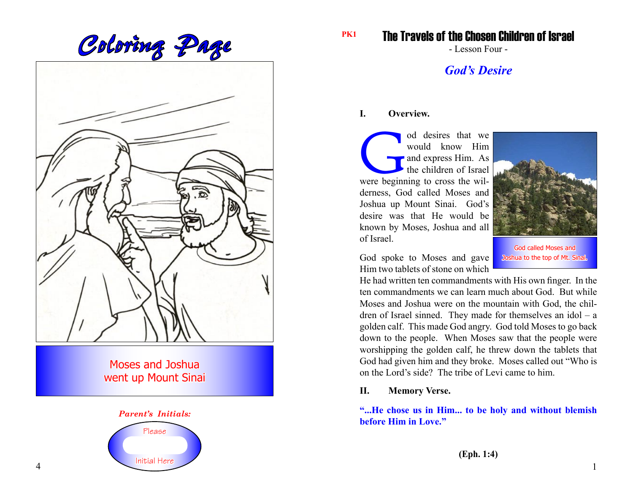Coloring Page **Page** 

Moses and Joshua went up Mount Sinai



The Travels of the Chosen Children of Israel

- Lesson Four -

# *God's Desire*

## **I. Overview.**

od desires that we would know Him<br>and express Him. As<br>the children of Israel<br>were beginning to cross the wilwould know Him and express Him. As the children of Israel derness, God called Moses and Joshua up Mount Sinai. God's desire was that He would be known by Moses, Joshua and all of Israel.



God spoke to Moses and gave Him two tablets of stone on which

God called Moses and Joshua to the top of Mt. Sinai.

He had written ten commandments with His own finger. In the ten commandments we can learn much about God. But while Moses and Joshua were on the mountain with God, the children of Israel sinned. They made for themselves an idol – a golden calf. This made God angry. God told Moses to go back down to the people. When Moses saw that the people were worshipping the golden calf, he threw down the tablets that God had given him and they broke. Moses called out "Who is on the Lord's side? The tribe of Levi came to him.

# **II. Memory Verse.**

**"...He chose us in Him... to be holy and without blemish before Him in Love."**

**(Eph. 1:4)**